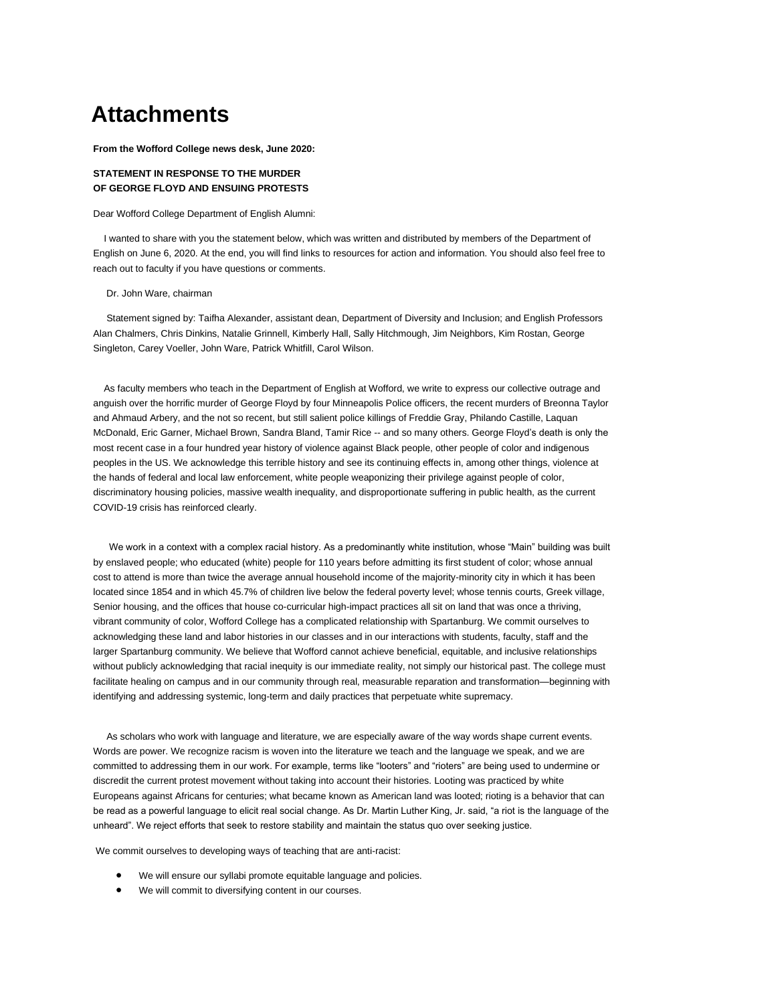# **Attachments**

**From the Wofford College news desk, June 2020:**

## **STATEMENT IN RESPONSE TO THE MURDER OF GEORGE FLOYD AND ENSUING PROTESTS**

Dear Wofford College Department of English Alumni:

 I wanted to share with you the statement below, which was written and distributed by members of the Department of English on June 6, 2020. At the end, you will find links to resources for action and information. You should also feel free to reach out to faculty if you have questions or comments.

#### Dr. John Ware, chairman

 Statement signed by: Taifha Alexander, assistant dean, Department of Diversity and Inclusion; and English Professors Alan Chalmers, Chris Dinkins, Natalie Grinnell, Kimberly Hall, Sally Hitchmough, Jim Neighbors, Kim Rostan, George Singleton, Carey Voeller, John Ware, Patrick Whitfill, Carol Wilson.

 As faculty members who teach in the Department of English at Wofford, we write to express our collective outrage and anguish over the horrific murder of George Floyd by four Minneapolis Police officers, the recent murders of Breonna Taylor and Ahmaud Arbery, and the not so recent, but still salient police killings of Freddie Gray, Philando Castille, Laquan McDonald, Eric Garner, Michael Brown, Sandra Bland, Tamir Rice -- and so many others. George Floyd's death is only the most recent case in a four hundred year history of violence against Black people, other people of color and indigenous peoples in the US. We acknowledge this terrible history and see its continuing effects in, among other things, violence at the hands of federal and local law enforcement, white people weaponizing their privilege against people of color, discriminatory housing policies, massive wealth inequality, and disproportionate suffering in public health, as the current COVID-19 crisis has reinforced clearly.

 We work in a context with a complex racial history. As a predominantly white institution, whose "Main" building was built by enslaved people; who educated (white) people for 110 years before admitting its first student of color; whose annual cost to attend is more than twice the average annual household income of the majority-minority city in which it has been located since 1854 and in which 45.7% of children live below the federal poverty level; whose tennis courts, Greek village, Senior housing, and the offices that house co-curricular high-impact practices all sit on land that was once a thriving, vibrant community of color, Wofford College has a complicated relationship with Spartanburg. We commit ourselves to acknowledging these land and labor histories in our classes and in our interactions with students, faculty, staff and the larger Spartanburg community. We believe that Wofford cannot achieve beneficial, equitable, and inclusive relationships without publicly acknowledging that racial inequity is our immediate reality, not simply our historical past. The college must facilitate healing on campus and in our community through real, measurable reparation and transformation—beginning with identifying and addressing systemic, long-term and daily practices that perpetuate white supremacy.

 As scholars who work with language and literature, we are especially aware of the way words shape current events. Words are power. We recognize racism is woven into the literature we teach and the language we speak, and we are committed to addressing them in our work. For example, terms like "looters" and "rioters" are being used to undermine or discredit the current protest movement without taking into account their histories. Looting was practiced by white Europeans against Africans for centuries; what became known as American land was looted; rioting is a behavior that can be read as a powerful language to elicit real social change. As Dr. Martin Luther King, Jr. said, "a riot is the language of the unheard". We reject efforts that seek to restore stability and maintain the status quo over seeking justice.

We commit ourselves to developing ways of teaching that are anti-racist:

- We will ensure our syllabi promote equitable language and policies.
- We will commit to diversifying content in our courses.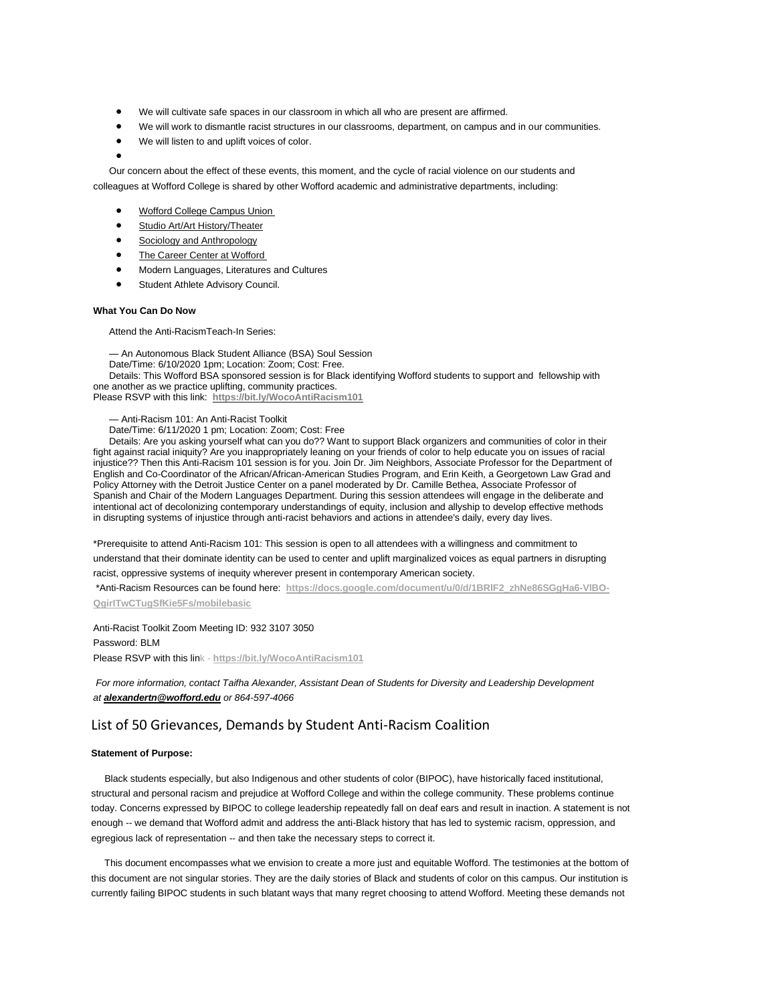- We will cultivate safe spaces in our classroom in which all who are present are affirmed.
- We will work to dismantle racist structures in our classrooms, department, on campus and in our communities.
- We will listen to and uplift voices of color.

•

 Our concern about the effect of these events, this moment, and the cycle of racial violence on our students and colleagues at Wofford College is shared by other Wofford academic and administrative departments, including:

- [Wofford College Campus Union](https://linkprotect.cudasvc.com/url?a=https%3a%2f%2fmx.technolutions.net%2fss%2fc%2fgsby7xed_Q9kJKoUKuDGdIIaz-Ge-UZOM0Rsh3Nqw9_m3QSJudoo3rwjMoFRiINAd0Barq8c0Zl-ap-DgG1HpGOBARFL9-Z07Eb9hUIaklGrr06ZaEejMAIXiqfRqOVB%2f32i%2fUPWiPZLUQWyVhw1mIgMulA%2fh3%2fC8giKDzTknSnjXnT_Njhi_iXtZJjQp3h5pUMfegivcE&c=E,1,OvQiV7qL_g3ycinrLcPvWIwjEMJX7Nw6JyUJOx0LO6H-oaxhSm336YW5cXD1F-Asc1UGxtFUjvhBoHUBdRHM8VxgQW8N5reClycsm1OwiTwo-T7XTrTM&typo=1)
- [Studio Art/Art History/Theater](https://linkprotect.cudasvc.com/url?a=https%3a%2f%2fmx.technolutions.net%2fss%2fc%2fgsby7xed_Q9kJKoUKuDGdIIaz-Ge-UZOM0Rsh3Nqw9-tAjifsk_0_71o27BggAPKX2AjdN4PypkWBxHIuvHhg3WPBruJ8iD1mp7P-8umQH4%2f32i%2fUPWiPZLUQWyVhw1mIgMulA%2fh4%2faDC5ubdwdIMst8EQM8NVsAFtd4I_58uxl6rk9iNFAEQ&c=E,1,vN2EmeO7X4Kn92psB0m54X3vUjH4gpGb0zaNtiQEPoBZMs54BHXCkPCl6isrWsp9PlOQ0K2M76kS5D6vIaCKGgNUVZoWs42fgaY4zC7lhw0gJrHt7FU,&typo=1)
- [Sociology and Anthropology](https://linkprotect.cudasvc.com/url?a=https%3a%2f%2fmx.technolutions.net%2fss%2fc%2fyoYk2D2UBkKolXlytdQ2haLfYBoUiCLSYS60xEzBcOFBJ2-KGZf0iifq3dh6BaoAseAQ3axJmi4xdnRhX4IUxkQjpIM11KF3-Tx0D5UZZ99nBjhVeSe4ujNIGNIZLRV4%2f32i%2fUPWiPZLUQWyVhw1mIgMulA%2fh5%2ftmK5_wJer5nJbhVVQvDuxaG3Uhy6KIJEJSaLCOcLUGo&c=E,1,yUqViagy4U8ZK9AdVKFT_PL714ZwJ6PC6sdmIGlPxBXVV3my0oJys5USepVgnFEzq34S3GpYzGwuQ7x5rGk8ZT3bW16FxStjJEl0N9s6oNI,&typo=1)
- [The Career Center at Wofford](https://linkprotect.cudasvc.com/url?a=https%3a%2f%2fmx.technolutions.net%2fss%2fc%2fgsby7xed_Q9kJKoUKuDGdFxs_uJnMAO00wmBU85r1qYf85I6fE7rdrH7iIkU0cI6ktsH8edcozbKBgFmX0bI_vm9JLc37nojGCFkNV8UNI0%2f32i%2fUPWiPZLUQWyVhw1mIgMulA%2fh6%2fQRBbwmaUc0-cGbBuBgZLFAU-seaOLevZfQ_RHZqS4bQ&c=E,1,OYIPOQIY2ozRKYXdi-CNf38PAJ5BKPCMKgqU2vrMq1oJQh5r7pULmHt79tnQ8svhiyYFzhuTJT_ssiW1BK_GTINvHPoNx99NIvK8QzCTj4zB&typo=1)
- Modern Languages, Literatures and Cultures
- Student Athlete Advisory Council.

#### **What You Can Do Now**

Attend the Anti-RacismTeach-In Series:

 — An Autonomous Black Student Alliance (BSA) Soul Session Date/Time: 6/10/2020 1pm; Location: Zoom; Cost: Free. Details: This Wofford BSA sponsored session is for Black identifying Wofford students to support and fellowship with one another as we practice uplifting, community practices. Please RSVP with this link: **[https://bit.ly/WocoAntiRacism101](https://linkprotect.cudasvc.com/url?a=https%3a%2f%2fmx.technolutions.net%2fss%2fc%2ft6m3gGz2nmAoFTSflIdWSymIBzcVG_FusvgQM6UwEkYFSBsBcBP-qEYTPBNJKZS2%2f32i%2fUPWiPZLUQWyVhw1mIgMulA%2fh7%2fi-amoCwIvxQ5rS0YqbjThsTCPnekynRA865PrXTLfSs&c=E,1,xxNjtNAZcA5obWSiARt5vM9cCFBUPEO10L1XPkblLH4QH3jJnYiGSITktnGFI898ZMCToDPFe8pOJadVXbC_tQ4dEVLG_k30Gd-BqWqDZGT0uFjV100,&typo=1)**

— Anti-Racism 101: An Anti-Racist Toolkit

Date/Time: 6/11/2020 1 pm; Location: Zoom; Cost: Free

 Details: Are you asking yourself what can you do?? Want to support Black organizers and communities of color in their fight against racial iniquity? Are you inappropriately leaning on your friends of color to help educate you on issues of racial injustice?? Then this Anti-Racism 101 session is for you. Join Dr. Jim Neighbors, Associate Professor for the Department of English and Co-Coordinator of the African/African-American Studies Program, and Erin Keith, a Georgetown Law Grad and Policy Attorney with the Detroit Justice Center on a panel moderated by Dr. Camille Bethea, Associate Professor of Spanish and Chair of the Modern Languages Department. During this session attendees will engage in the deliberate and intentional act of decolonizing contemporary understandings of equity, inclusion and allyship to develop effective methods in disrupting systems of injustice through anti-racist behaviors and actions in attendee's daily, every day lives.

\*Prerequisite to attend Anti-Racism 101: This session is open to all attendees with a willingness and commitment to understand that their dominate identity can be used to center and uplift marginalized voices as equal partners in disrupting racist, oppressive systems of inequity wherever present in contemporary American society.

\*Anti-Racism Resources can be found here: **[https://docs.google.com/document/u/0/d/1BRlF2\\_zhNe86SGgHa6-VlBO-](https://linkprotect.cudasvc.com/url?a=https%3a%2f%2fmx.technolutions.net%2fss%2fc%2fyoYk2D2UBkKolXlytdQ2hWLn8XFPJTGew7lb1ZTSqhjd_DDPQjPe4vG9nLnoe8cdXFgku42Xyx7wYH--46GhJgzJpQg-vCtcX1yDYXcW0EbO-VrKpSHAeScHeM-nUjGqN9NsKg99t6r7r37aP9E6Cw%2f32i%2fUPWiPZLUQWyVhw1mIgMulA%2fh8%2fPmuzrm9vQMnAKEF3SqjDq_xboeDYw74BP7XWl1h6buk&c=E,1,pY8Df06XmQBOwEOmyGpQDZgd3umpNt7y0Z9H_LefD06q8GO1IG3Pj9RmUYYj9eYWzks-MOMroLQ4ozct5EAfpnTWjNYrKbnv4PttMFOxj_wePrayVZQifZw,&typo=1)**

**[QgirITwCTugSfKie5Fs/mobilebasic](https://linkprotect.cudasvc.com/url?a=https%3a%2f%2fmx.technolutions.net%2fss%2fc%2fyoYk2D2UBkKolXlytdQ2hWLn8XFPJTGew7lb1ZTSqhjd_DDPQjPe4vG9nLnoe8cdXFgku42Xyx7wYH--46GhJgzJpQg-vCtcX1yDYXcW0EbO-VrKpSHAeScHeM-nUjGqN9NsKg99t6r7r37aP9E6Cw%2f32i%2fUPWiPZLUQWyVhw1mIgMulA%2fh8%2fPmuzrm9vQMnAKEF3SqjDq_xboeDYw74BP7XWl1h6buk&c=E,1,pY8Df06XmQBOwEOmyGpQDZgd3umpNt7y0Z9H_LefD06q8GO1IG3Pj9RmUYYj9eYWzks-MOMroLQ4ozct5EAfpnTWjNYrKbnv4PttMFOxj_wePrayVZQifZw,&typo=1)**

Anti-Racist Toolkit Zoom Meeting ID: 932 3107 3050

Password: BLM

Please RSVP with this link - **[https://bit.ly/WocoAntiRacism101](https://linkprotect.cudasvc.com/url?a=https%3a%2f%2fmx.technolutions.net%2fss%2fc%2ft6m3gGz2nmAoFTSflIdWSymIBzcVG_FusvgQM6UwEkYFSBsBcBP-qEYTPBNJKZS2%2f32i%2fUPWiPZLUQWyVhw1mIgMulA%2fh9%2f8dzOmtjQg_0aDHh7RMi3vA9llWikE3ZthFP8btc29J4&c=E,1,Sui-P8cIzFAdDftVoSmPWTBi-2mSYtB-5_ZeWtshh0KSaW73N4tqBJ_NPphNbhHVNyJ2i9QpVfEfgGcXqgQOQsK7ace4-c2UvXIOTgrUYkKSUwuo&typo=1)**

*For more information, contact Taifha Alexander, Assistant Dean of Students for Diversity and Leadership Development at [alexandertn@wofford.edu](mailto:alexandertn@wofford.edu) or 864-597-4066*

## List of 50 Grievances, Demands by Student Anti-Racism Coalition

### **Statement of Purpose:**

 Black students especially, but also Indigenous and other students of color (BIPOC), have historically faced institutional, structural and personal racism and prejudice at Wofford College and within the college community. These problems continue today. Concerns expressed by BIPOC to college leadership repeatedly fall on deaf ears and result in inaction. A statement is not enough -- we demand that Wofford admit and address the anti-Black history that has led to systemic racism, oppression, and egregious lack of representation -- and then take the necessary steps to correct it.

 This document encompasses what we envision to create a more just and equitable Wofford. The testimonies at the bottom of this document are not singular stories. They are the daily stories of Black and students of color on this campus. Our institution is currently failing BIPOC students in such blatant ways that many regret choosing to attend Wofford. Meeting these demands not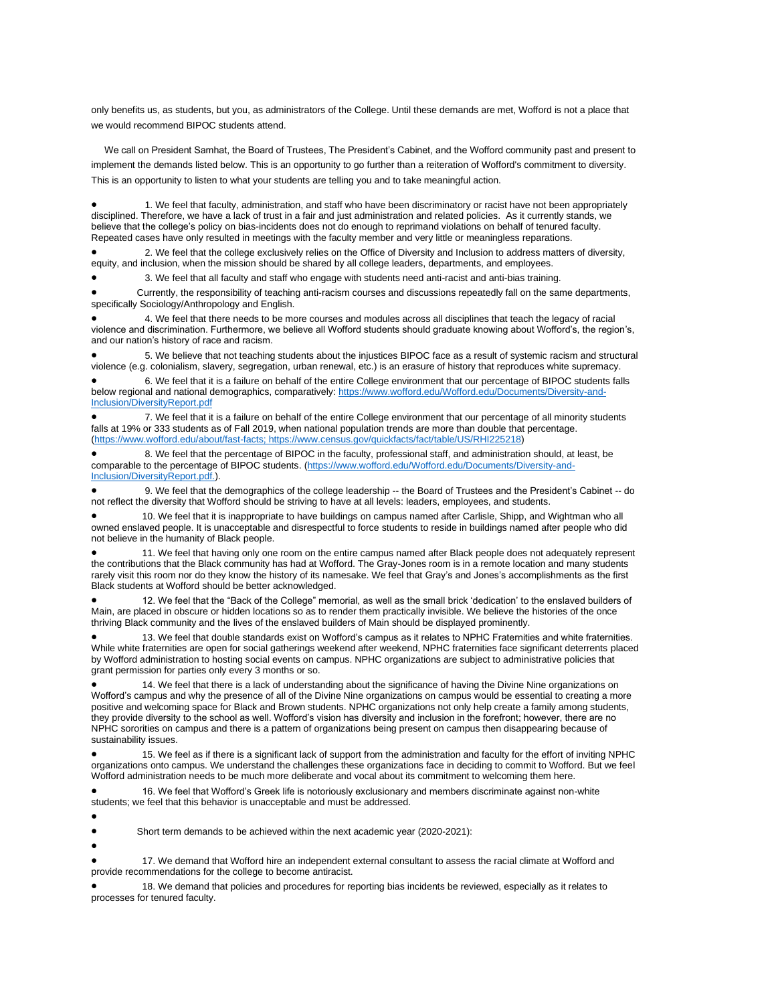only benefits us, as students, but you, as administrators of the College. Until these demands are met, Wofford is not a place that we would recommend BIPOC students attend.

 We call on President Samhat, the Board of Trustees, The President's Cabinet, and the Wofford community past and present to implement the demands listed below. This is an opportunity to go further than a reiteration of Wofford's commitment to diversity. This is an opportunity to listen to what your students are telling you and to take meaningful action.

• 1. We feel that faculty, administration, and staff who have been discriminatory or racist have not been appropriately disciplined. Therefore, we have a lack of trust in a fair and just administration and related policies. As it currently stands, we believe that the college's policy on bias-incidents does not do enough to reprimand violations on behalf of tenured faculty. Repeated cases have only resulted in meetings with the faculty member and very little or meaningless reparations.

• 2. We feel that the college exclusively relies on the Office of Diversity and Inclusion to address matters of diversity, equity, and inclusion, when the mission should be shared by all college leaders, departments, and employees.

• 3. We feel that all faculty and staff who engage with students need anti-racist and anti-bias training.

• Currently, the responsibility of teaching anti-racism courses and discussions repeatedly fall on the same departments, specifically Sociology/Anthropology and English.

• 4. We feel that there needs to be more courses and modules across all disciplines that teach the legacy of racial violence and discrimination. Furthermore, we believe all Wofford students should graduate knowing about Wofford's, the region's, and our nation's history of race and racism.

• 5. We believe that not teaching students about the injustices BIPOC face as a result of systemic racism and structural violence (e.g. colonialism, slavery, segregation, urban renewal, etc.) is an erasure of history that reproduces white supremacy.

• 6. We feel that it is a failure on behalf of the entire College environment that our percentage of BIPOC students falls below regional and national demographics, comparatively: [https://www.wofford.edu/Wofford.edu/Documents/Diversity-and-](https://linkprotect.cudasvc.com/url?a=https%3a%2f%2fwww.wofford.edu%2fWofford.edu%2fDocuments%2fDiversity-and-Inclusion%2fDiversityReport.pdf&c=E,1,R_Zl5wj38qhW632DZXXMWV5LX_qlJaDGuK1ofGhyf0YKp78S9QivTJBMoum3PCeZ1psbxvLzBOw96tP0nQgq2tZRrkbApuQZc2pUKu4qJCcYbEvMw3DhYg,,&typo=1)[Inclusion/DiversityReport.pdf](https://linkprotect.cudasvc.com/url?a=https%3a%2f%2fwww.wofford.edu%2fWofford.edu%2fDocuments%2fDiversity-and-Inclusion%2fDiversityReport.pdf&c=E,1,R_Zl5wj38qhW632DZXXMWV5LX_qlJaDGuK1ofGhyf0YKp78S9QivTJBMoum3PCeZ1psbxvLzBOw96tP0nQgq2tZRrkbApuQZc2pUKu4qJCcYbEvMw3DhYg,,&typo=1)

• 7. We feel that it is a failure on behalf of the entire College environment that our percentage of all minority students falls at 19% or 333 students as of Fall 2019, when national population trends are more than double that percentage. [\(https://www.wofford.edu/about/fast-facts; https://www.census.gov/quickfacts/fact/table/US/RHI225218\)](https://linkprotect.cudasvc.com/url?a=https%3a%2f%2fwww.wofford.edu%2fabout%2ffast-facts&c=E,1,rSe11qexvMApjG6vBsDrJ8JmCdEKnREyemnu4khR14E8x4JaeFAVqnua8TYZAK7EODVGMLTrWMEun_tiCE2hs_QBzKXUElSxfZIK0tMPoYIZ&typo=1)

• 8. We feel that the percentage of BIPOC in the faculty, professional staff, and administration should, at least, be comparable to the percentage of BIPOC students. [\(https://www.wofford.edu/Wofford.edu/Documents/Diversity-and-](https://linkprotect.cudasvc.com/url?a=https%3a%2f%2fwww.wofford.edu%2fWofford.edu%2fDocuments%2fDiversity-and-Inclusion%2fDiversityReport.pdf.&c=E,1,K7AvSRA3OCxU0NTWY5BHUqwN1Q_omhT2ntmLoMh-kprN0tgiZyDx3y0IGuQD9lwIbpQGUa9v08cooLzXGrKHp_5BQmayBJS5oluxnlM3AR5-OVmB0g,,&typo=1)[Inclusion/DiversityReport.pdf.\)](https://linkprotect.cudasvc.com/url?a=https%3a%2f%2fwww.wofford.edu%2fWofford.edu%2fDocuments%2fDiversity-and-Inclusion%2fDiversityReport.pdf.&c=E,1,K7AvSRA3OCxU0NTWY5BHUqwN1Q_omhT2ntmLoMh-kprN0tgiZyDx3y0IGuQD9lwIbpQGUa9v08cooLzXGrKHp_5BQmayBJS5oluxnlM3AR5-OVmB0g,,&typo=1).

• 9. We feel that the demographics of the college leadership -- the Board of Trustees and the President's Cabinet -- do not reflect the diversity that Wofford should be striving to have at all levels: leaders, employees, and students.

• 10. We feel that it is inappropriate to have buildings on campus named after Carlisle, Shipp, and Wightman who all owned enslaved people. It is unacceptable and disrespectful to force students to reside in buildings named after people who did not believe in the humanity of Black people.

• 11. We feel that having only one room on the entire campus named after Black people does not adequately represent the contributions that the Black community has had at Wofford. The Gray-Jones room is in a remote location and many students rarely visit this room nor do they know the history of its namesake. We feel that Gray's and Jones's accomplishments as the first Black students at Wofford should be better acknowledged.

• 12. We feel that the "Back of the College" memorial, as well as the small brick 'dedication' to the enslaved builders of Main, are placed in obscure or hidden locations so as to render them practically invisible. We believe the histories of the once thriving Black community and the lives of the enslaved builders of Main should be displayed prominently.

• 13. We feel that double standards exist on Wofford's campus as it relates to NPHC Fraternities and white fraternities. While white fraternities are open for social gatherings weekend after weekend, NPHC fraternities face significant deterrents placed by Wofford administration to hosting social events on campus. NPHC organizations are subject to administrative policies that grant permission for parties only every 3 months or so.

• 14. We feel that there is a lack of understanding about the significance of having the Divine Nine organizations on Wofford's campus and why the presence of all of the Divine Nine organizations on campus would be essential to creating a more positive and welcoming space for Black and Brown students. NPHC organizations not only help create a family among students, they provide diversity to the school as well. Wofford's vision has diversity and inclusion in the forefront; however, there are no NPHC sororities on campus and there is a pattern of organizations being present on campus then disappearing because of sustainability issues.

• 15. We feel as if there is a significant lack of support from the administration and faculty for the effort of inviting NPHC organizations onto campus. We understand the challenges these organizations face in deciding to commit to Wofford. But we feel Wofford administration needs to be much more deliberate and vocal about its commitment to welcoming them here.

• 16. We feel that Wofford's Greek life is notoriously exclusionary and members discriminate against non-white students; we feel that this behavior is unacceptable and must be addressed.

•

• Short term demands to be achieved within the next academic year (2020-2021):

•

• 17. We demand that Wofford hire an independent external consultant to assess the racial climate at Wofford and provide recommendations for the college to become antiracist.

• 18. We demand that policies and procedures for reporting bias incidents be reviewed, especially as it relates to processes for tenured faculty.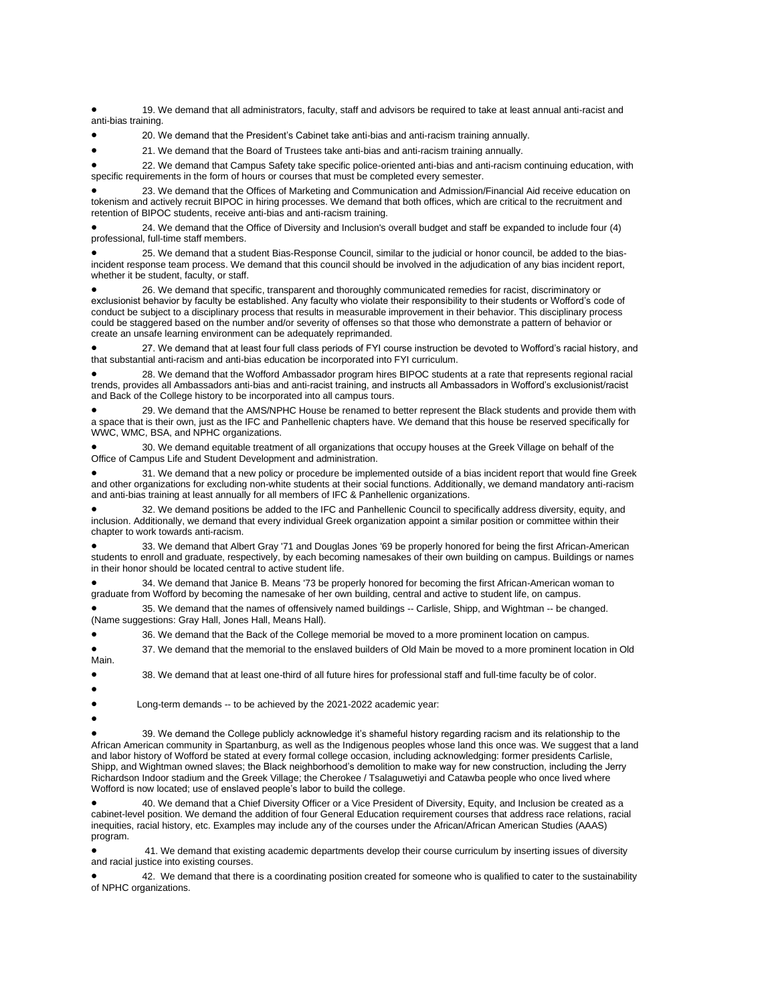• 19. We demand that all administrators, faculty, staff and advisors be required to take at least annual anti-racist and anti-bias training.

• 20. We demand that the President's Cabinet take anti-bias and anti-racism training annually.

• 21. We demand that the Board of Trustees take anti-bias and anti-racism training annually.

• 22. We demand that Campus Safety take specific police-oriented anti-bias and anti-racism continuing education, with specific requirements in the form of hours or courses that must be completed every semester.

• 23. We demand that the Offices of Marketing and Communication and Admission/Financial Aid receive education on tokenism and actively recruit BIPOC in hiring processes. We demand that both offices, which are critical to the recruitment and retention of BIPOC students, receive anti-bias and anti-racism training.

• 24. We demand that the Office of Diversity and Inclusion's overall budget and staff be expanded to include four (4) professional, full-time staff members.

• 25. We demand that a student Bias-Response Council, similar to the judicial or honor council, be added to the biasincident response team process. We demand that this council should be involved in the adjudication of any bias incident report, whether it be student, faculty, or staff.

• 26. We demand that specific, transparent and thoroughly communicated remedies for racist, discriminatory or exclusionist behavior by faculty be established. Any faculty who violate their responsibility to their students or Wofford's code of conduct be subject to a disciplinary process that results in measurable improvement in their behavior. This disciplinary process could be staggered based on the number and/or severity of offenses so that those who demonstrate a pattern of behavior or create an unsafe learning environment can be adequately reprimanded.

• 27. We demand that at least four full class periods of FYI course instruction be devoted to Wofford's racial history, and that substantial anti-racism and anti-bias education be incorporated into FYI curriculum.

• 28. We demand that the Wofford Ambassador program hires BIPOC students at a rate that represents regional racial trends, provides all Ambassadors anti-bias and anti-racist training, and instructs all Ambassadors in Wofford's exclusionist/racist and Back of the College history to be incorporated into all campus tours.

• 29. We demand that the AMS/NPHC House be renamed to better represent the Black students and provide them with a space that is their own, just as the IFC and Panhellenic chapters have. We demand that this house be reserved specifically for WWC, WMC, BSA, and NPHC organizations.

• 30. We demand equitable treatment of all organizations that occupy houses at the Greek Village on behalf of the Office of Campus Life and Student Development and administration.

• 31. We demand that a new policy or procedure be implemented outside of a bias incident report that would fine Greek and other organizations for excluding non-white students at their social functions. Additionally, we demand mandatory anti-racism and anti-bias training at least annually for all members of IFC & Panhellenic organizations.

• 32. We demand positions be added to the IFC and Panhellenic Council to specifically address diversity, equity, and inclusion. Additionally, we demand that every individual Greek organization appoint a similar position or committee within their chapter to work towards anti-racism.

• 33. We demand that Albert Gray '71 and Douglas Jones '69 be properly honored for being the first African-American students to enroll and graduate, respectively, by each becoming namesakes of their own building on campus. Buildings or names in their honor should be located central to active student life.

• 34. We demand that Janice B. Means '73 be properly honored for becoming the first African-American woman to graduate from Wofford by becoming the namesake of her own building, central and active to student life, on campus.

• 35. We demand that the names of offensively named buildings -- Carlisle, Shipp, and Wightman -- be changed. (Name suggestions: Gray Hall, Jones Hall, Means Hall).

• 36. We demand that the Back of the College memorial be moved to a more prominent location on campus.

• 37. We demand that the memorial to the enslaved builders of Old Main be moved to a more prominent location in Old Main.

• 38. We demand that at least one-third of all future hires for professional staff and full-time faculty be of color.

•

• Long-term demands -- to be achieved by the 2021-2022 academic year:

•

• 39. We demand the College publicly acknowledge it's shameful history regarding racism and its relationship to the African American community in Spartanburg, as well as the Indigenous peoples whose land this once was. We suggest that a land and labor history of Wofford be stated at every formal college occasion, including acknowledging: former presidents Carlisle, Shipp, and Wightman owned slaves; the Black neighborhood's demolition to make way for new construction, including the Jerry Richardson Indoor stadium and the Greek Village; the Cherokee / Tsalaguwetiyi and Catawba people who once lived where Wofford is now located; use of enslaved people's labor to build the college.

• 40. We demand that a Chief Diversity Officer or a Vice President of Diversity, Equity, and Inclusion be created as a cabinet-level position. We demand the addition of four General Education requirement courses that address race relations, racial inequities, racial history, etc. Examples may include any of the courses under the African/African American Studies (AAAS) program.

• 41. We demand that existing academic departments develop their course curriculum by inserting issues of diversity and racial justice into existing courses.

• 42. We demand that there is a coordinating position created for someone who is qualified to cater to the sustainability of NPHC organizations.